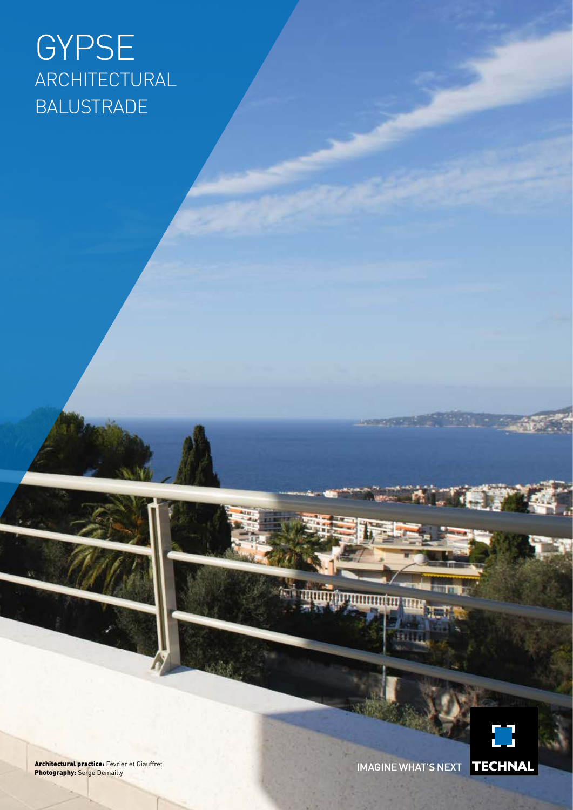# GYPSE ARCHITECTURAL BALUSTRADE

Architectural practice: Février et Giauffret **Photography:** Serge Demailly

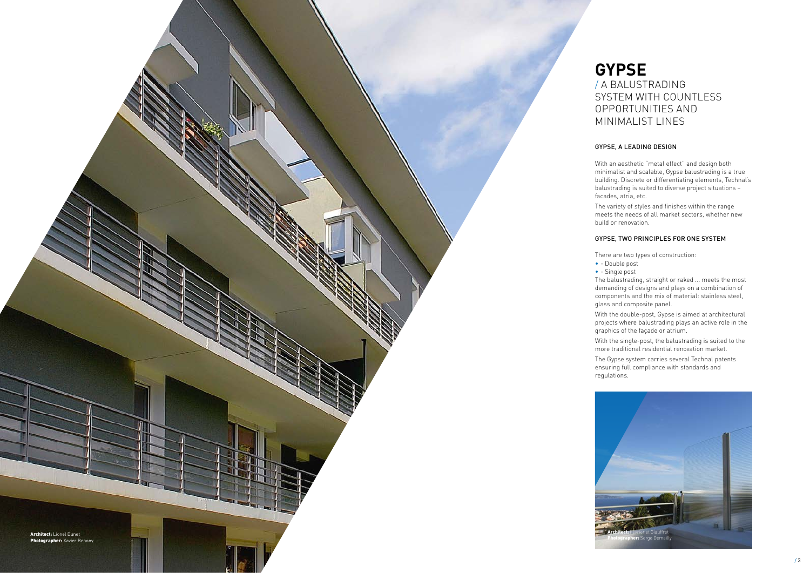

- 
- 
- 
- 
- 
- 
-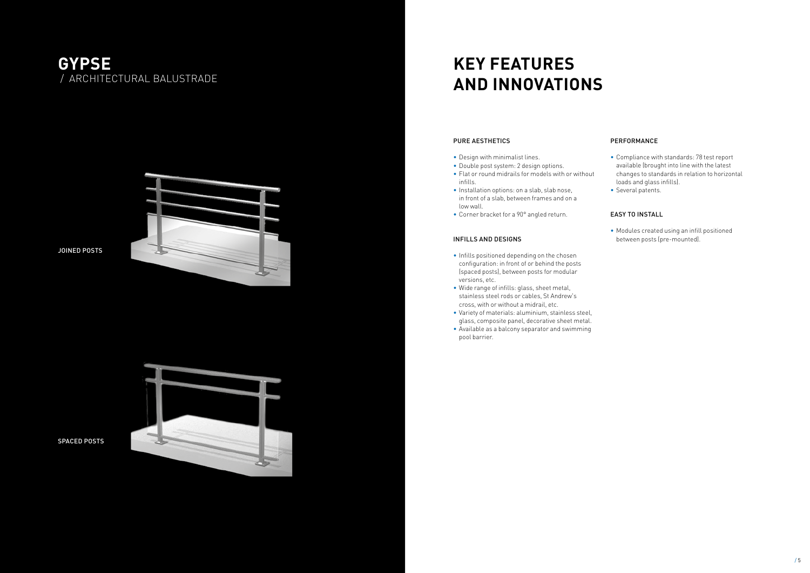### PURE AESTHETICS

- Design with minimalist lines.
- Double post system: 2 design options.
- Flat or round midrails for models with or without infills.
- Installation options: on a slab, slab nose, in front of a slab, between frames and on a low wall.
- Corner bracket for a 90° angled return.

### INFILLS AND DESIGNS

- Infills positioned depending on the chosen configuration: in front of or behind the posts (spaced posts), between posts for modular versions, etc.
- Wide range of infills: glass, sheet metal, stainless steel rods or cables, St Andrew's cross, with or without a midrail, etc.
- Variety of materials: aluminium, stainless steel, glass, composite panel, decorative sheet metal.
- Available as a balcony separator and swimming pool barrier.

### PERFORMANCE

- Compliance with standards: 78 test report available (brought into line with the latest changes to standards in relation to horizontal loads and glass infills).
- Several patents.

### EASY TO INSTALL

• Modules created using an infill positioned between posts (pre-mounted).

## **KEY FEATURES AND INNOVATIONS**

### **GYPSE** / ARCHITECTURAL BALUSTRADE



SPACED POSTS

JOINED POSTS

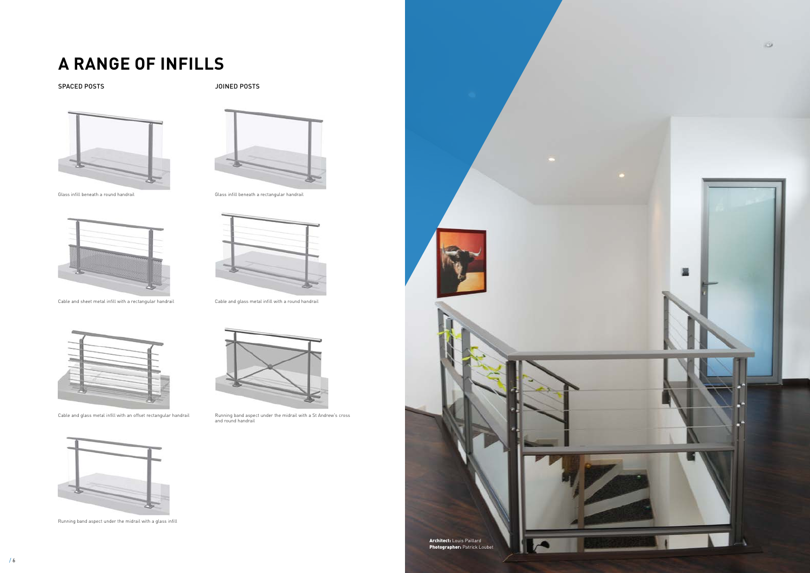

# **A RANGE OF INFILLS**

SPACED POSTS SPACED POSTS





Glass infill beneath a round handrail Glass infill beneath a rectangular handrail







Cable and sheet metal infill with a rectangular handrail Cable and glass metal infill with a round handrail



Cable and glass metal infill with an offset rectangular handrail Running band aspect under the midrail with a St Andrew's cross and round handrail



Running band aspect under the midrail with a glass infill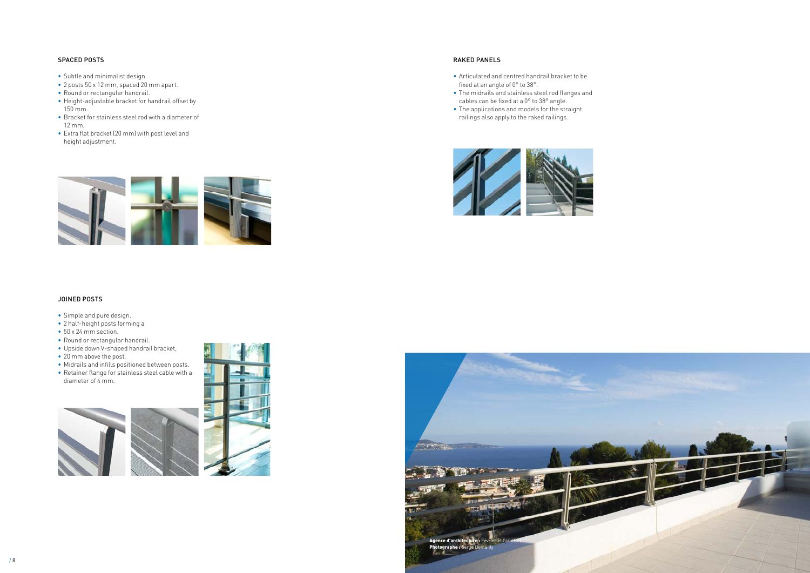

### JOINED POSTS

- Simple and pure design.
- 2 half-height posts forming a
- 50 x 24 mm section.
- Round or rectangular handrail.
- Upside down V-shaped handrail bracket,
- 20 mm above the post.
- Midrails and infills positioned between posts. • Retainer flange for stainless steel cable with a
- diameter of 4 mm.





### SPACED POSTS

- Subtle and minimalist design.
- 2 posts 50 x 12 mm, spaced 20 mm apart.
- Round or rectangular handrail.
- Height-adjustable bracket for handrail offset by 150 mm.
- Bracket for stainless steel rod with a diameter of 12 mm.
- Extra flat bracket (20 mm) with post level and height adjustment.

### RAKED PANELS

- Articulated and centred handrail bracket to be fixed at an angle of 0° to 38°.
- The midrails and stainless steel rod flanges and cables can be fixed at a 0° to 38° angle.
- The applications and models for the straight railings also apply to the raked railings.



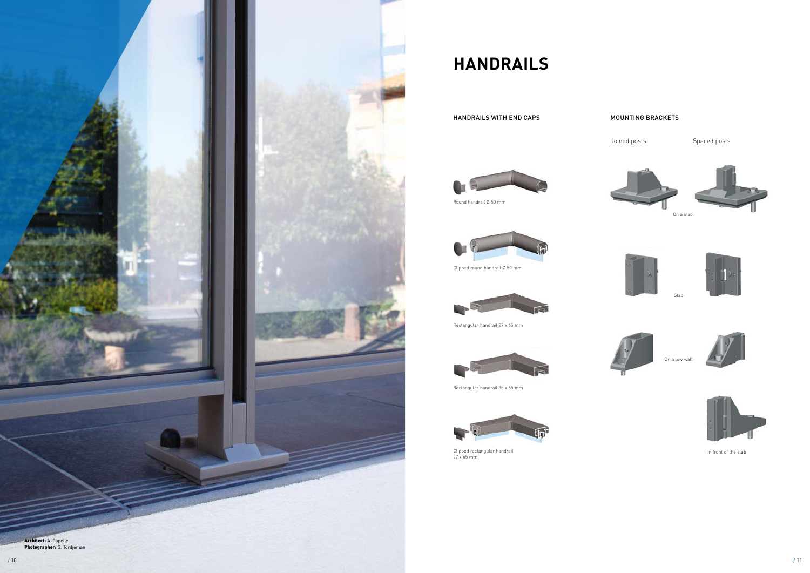

## **HANDRAILS**

HANDRAILS WITH END CAPS

### MOUNTING BRACKETS

Joined posts **Spaced posts** 





Round handrail Ø 50 mm



Clipped round handrail Ø 50 mm



Rectangular handrail 27 x 65 mm



Rectangular handrail 35 x 65 mm



Clipped rectangular handrail 27 x 65 mm



On a low wall











In front of the slab



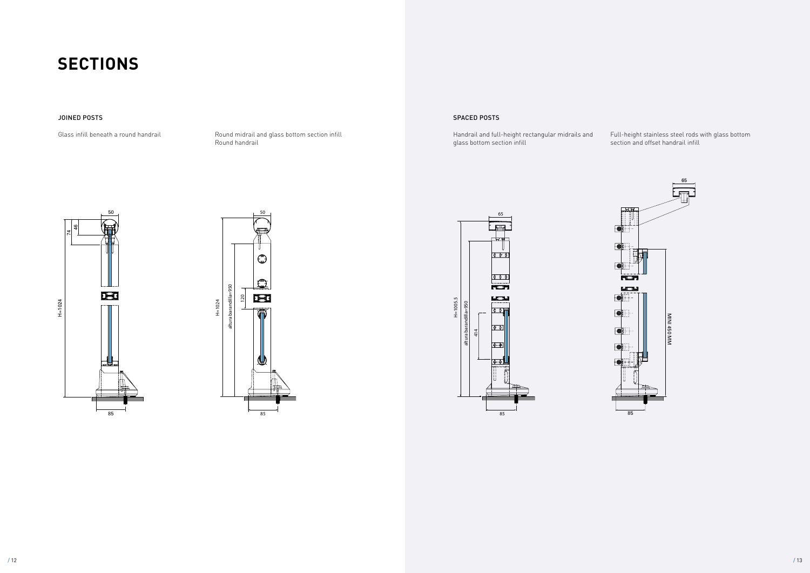





Full-height stainless steel rods with glass bottom section and offset handrail infill



## **SECTIONS**

Round midrail and glass bottom section infill Round handrail

### SPACED POSTS

Handrail and full-height rectangular midrails and glass bottom section infill

### JOINED POSTS

Glass infill beneath a round handrail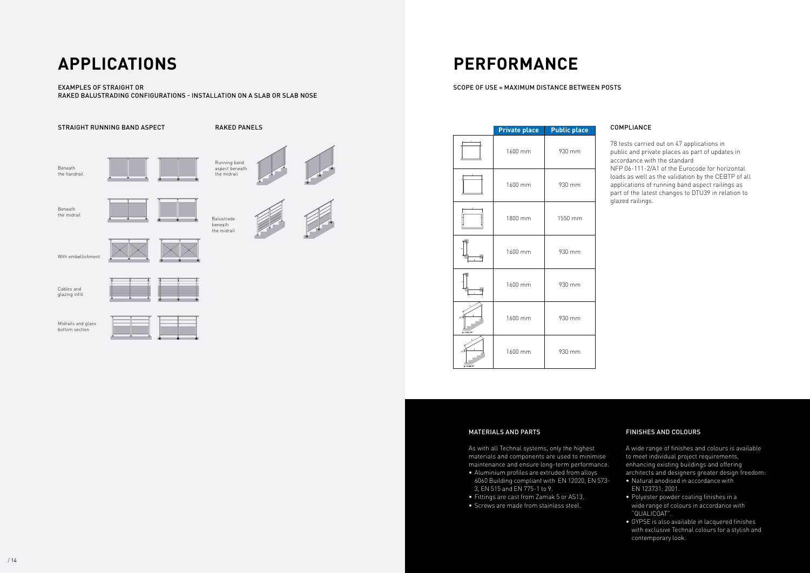## **APPLICATIONS PERFORMANCE**

### EXAMPLES OF STRAIGHT OR RAKED BALUSTRADING CONFIGURATIONS - INSTALLATION ON A SLAB OR SLAB NOSE

SCOPE OF USE = MAXIMUM DISTANCE BETWEEN POSTS



### MATERIALS AND PARTS

As with all Technal systems, only the highest materials and components are used to minimise maintenance and ensure long-term performance.

- Aluminium profiles are extruded from alloys 6060 Building compliant with EN 12020, EN 573- 3, EN 515 and EN 775-1 to 9.
- Fittings are cast from Zamak 5 or AS13.
- Screws are made from stainless steel.

### FINISHES AND COLOURS

A wide range of finishes and colours is available to meet individual project requirements, enhancing existing buildings and offering architects and designers greater design freedom:

- Natural anodised in accordance with EN 123731: 2001.
- Polyester powder coating finishes in a wide range of colours in accordance with "QUALICOAT".
- GYPSE is also available in lacquered finishes with exclusive Technal colours for a stylish and contemporary look.

### COMPLIANCE

78 tests carried out on 47 applications in public and private places as part of updates in accordance with the standard NFP 06-111-2/A1 of the Eurocode for horizontal loads as well as the validation by the CEBTP of all applications of running band aspect railings as part of the latest changes to DTU39 in relation to glazed railings.

|               | <b>Private place</b> | <b>Public place</b> |
|---------------|----------------------|---------------------|
|               | 1600 mm              | 930 mm              |
|               | 1600 mm              | 930 mm              |
|               | 1800 mm              | 1550 mm             |
|               | 1600 mm              | 930 mm              |
|               | 1600 mm              | 930 mm              |
| $a$ mad = 38° | 1600 mm              | 930 mm              |
| $M = 38'$     | 1600 mm              | 930 mm              |